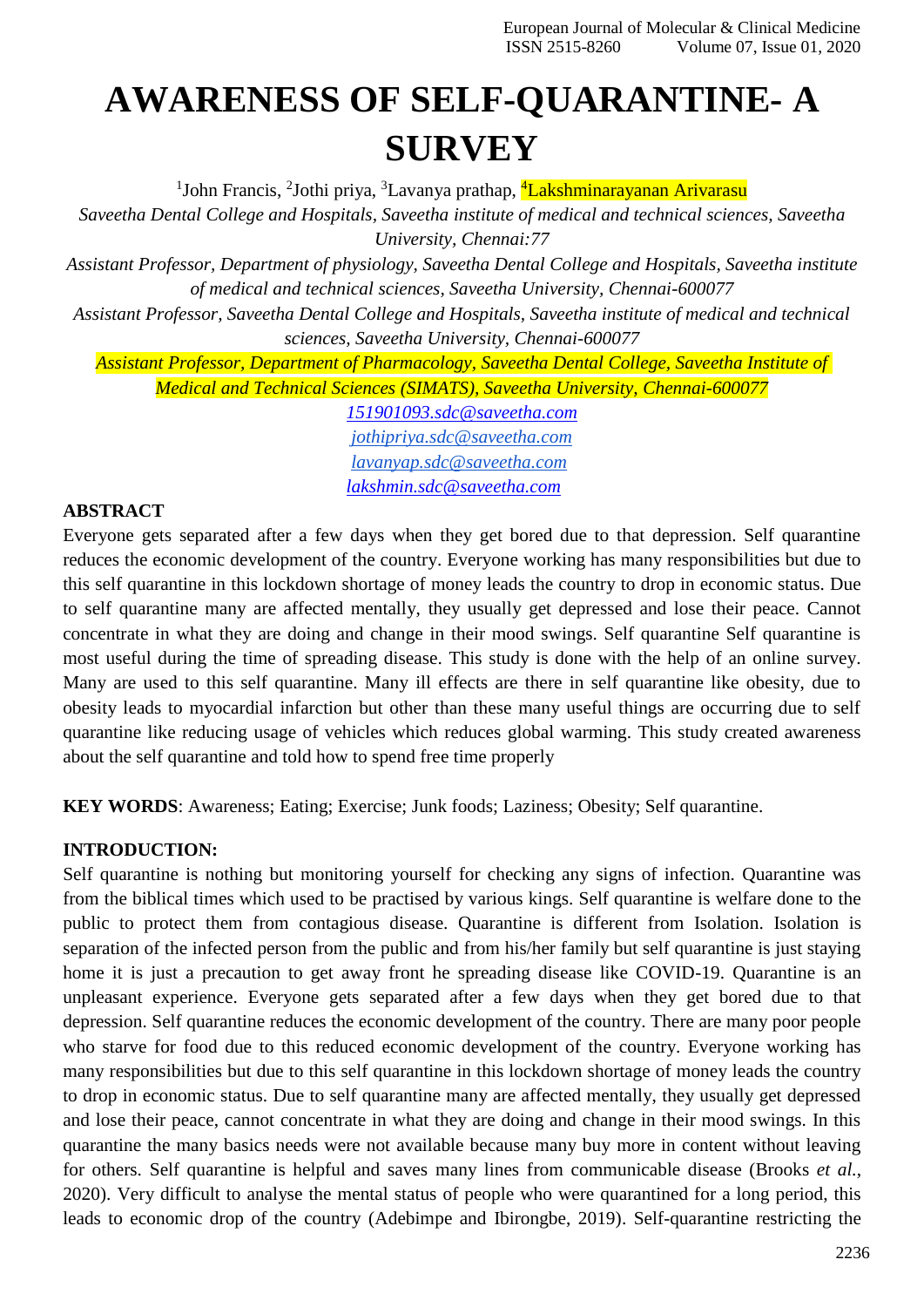# **AWARENESS OF SELF-QUARANTINE- A SURVEY**

<sup>1</sup>John Francis, <sup>2</sup>Jothi priya, <sup>3</sup>Lavanya prathap, <sup>4</sup>Lakshminarayanan Arivarasu

*Saveetha Dental College and Hospitals, Saveetha institute of medical and technical sciences, Saveetha University, Chennai:77*

*Assistant Professor, Department of physiology, Saveetha Dental College and Hospitals, Saveetha institute of medical and technical sciences, Saveetha University, Chennai-600077*

*Assistant Professor, Saveetha Dental College and Hospitals, Saveetha institute of medical and technical sciences, Saveetha University, Chennai-600077*

*Assistant Professor, Department of Pharmacology, Saveetha Dental College, Saveetha Institute of Medical and Technical Sciences (SIMATS), Saveetha University, Chennai-600077*

*[151901093.sdc@saveetha.com](mailto:151901093.sdc@saveetha.com) [jothipriya.sdc@saveetha.com](mailto:jothipriya.sdc@saveetha.com) [lavanyap.sdc@saveetha.com](mailto:lavanyap.sdc@saveetha.com) [lakshmin.sdc@saveetha.com](mailto:lakshmin.sdc@saveetha.com)*

## **ABSTRACT**

Everyone gets separated after a few days when they get bored due to that depression. Self quarantine reduces the economic development of the country. Everyone working has many responsibilities but due to this self quarantine in this lockdown shortage of money leads the country to drop in economic status. Due to self quarantine many are affected mentally, they usually get depressed and lose their peace. Cannot concentrate in what they are doing and change in their mood swings. Self quarantine Self quarantine is most useful during the time of spreading disease. This study is done with the help of an online survey. Many are used to this self quarantine. Many ill effects are there in self quarantine like obesity, due to obesity leads to myocardial infarction but other than these many useful things are occurring due to self quarantine like reducing usage of vehicles which reduces global warming. This study created awareness about the self quarantine and told how to spend free time properly

**KEY WORDS**: Awareness; Eating; Exercise; Junk foods; Laziness; Obesity; Self quarantine.

### **INTRODUCTION:**

Self quarantine is nothing but monitoring yourself for checking any signs of infection. Quarantine was from the biblical times which used to be practised by various kings. Self quarantine is welfare done to the public to protect them from contagious disease. Quarantine is different from Isolation. Isolation is separation of the infected person from the public and from his/her family but self quarantine is just staying home it is just a precaution to get away front he spreading disease like COVID-19. Quarantine is an unpleasant experience. Everyone gets separated after a few days when they get bored due to that depression. Self quarantine reduces the economic development of the country. There are many poor people who starve for food due to this reduced economic development of the country. Everyone working has many responsibilities but due to this self quarantine in this lockdown shortage of money leads the country to drop in economic status. Due to self quarantine many are affected mentally, they usually get depressed and lose their peace, cannot concentrate in what they are doing and change in their mood swings. In this quarantine the many basics needs were not available because many buy more in content without leaving for others. Self quarantine is helpful and saves many lines from communicable disease [\(Brooks](https://paperpile.com/c/hevxHO/dGdd) *et al.*, [2020\). V](https://paperpile.com/c/hevxHO/dGdd)ery difficult to analyse the mental status of people who were quarantined for a long period, this leads to economic drop of the country [\(Adebimpe and Ibirongbe, 2019\).](https://paperpile.com/c/hevxHO/iZHK) Self-quarantine restricting the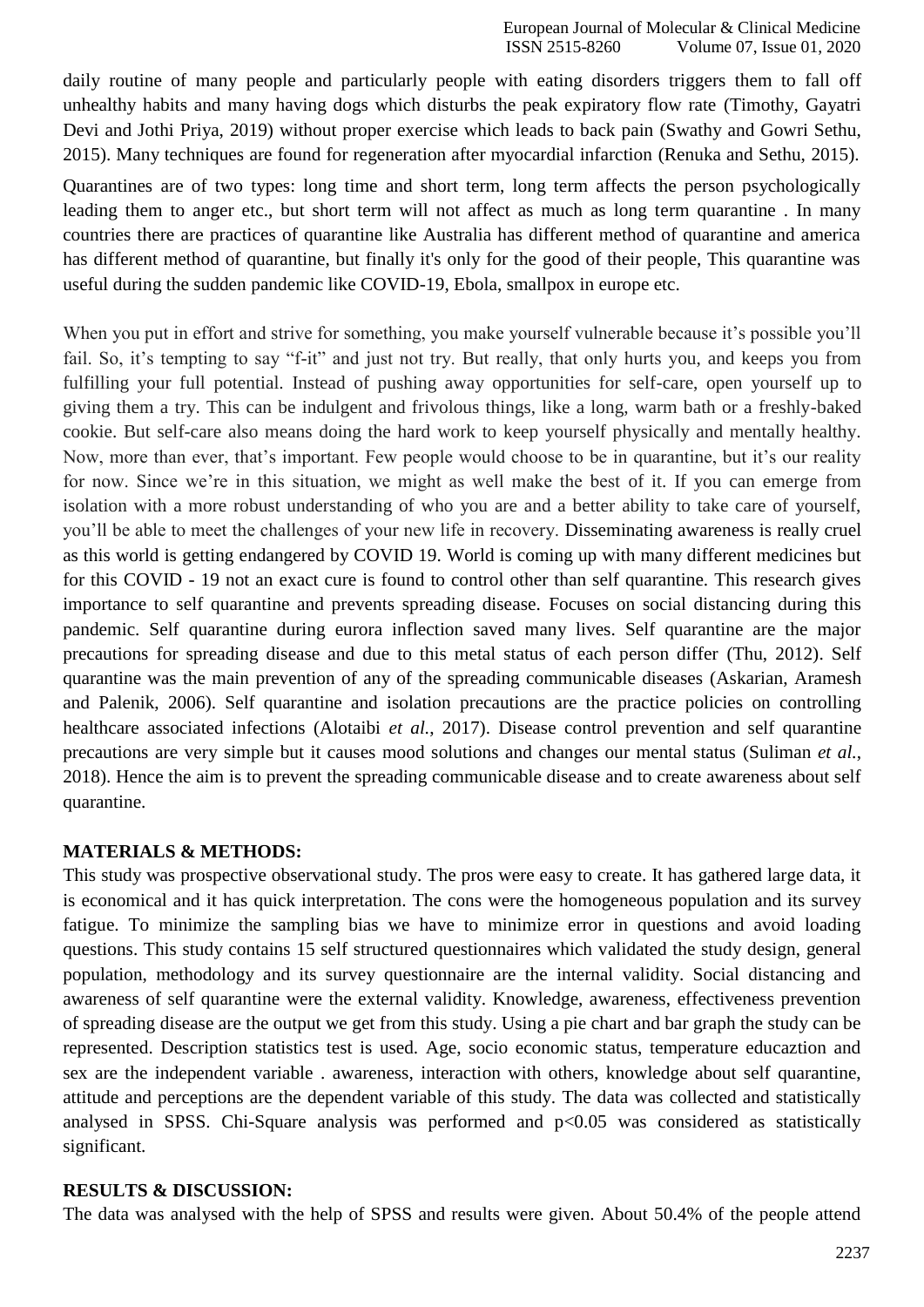daily routine of many people and particularly people with eating disorders triggers them to fall off unhealthy habits and many having dogs which disturbs the peak expiratory flow rate [\(Timothy, Gayatri](https://paperpile.com/c/hevxHO/H0u1) [Devi and Jothi Priya, 2019\) w](https://paperpile.com/c/hevxHO/H0u1)ithout proper exercise which leads to back pain [\(Swathy and Gowri Sethu,](https://paperpile.com/c/hevxHO/n2hT) [2015\).](https://paperpile.com/c/hevxHO/n2hT) Many techniques are found for regeneration after myocardial infarction [\(Renuka](https://paperpile.com/c/hevxHO/aeR3) and Sethu, 2015).

Quarantines are of two types: long time and short term, long term affects the person psychologically leading them to anger etc., but short term will not affect as much as long term quarantine . In many countries there are practices of quarantine like Australia has different method of quarantine and america has different method of quarantine, but finally it's only for the good of their people, This quarantine was useful during the sudden pandemic like COVID-19, Ebola, smallpox in europe etc.

When you put in effort and strive for something, you make yourself vulnerable because it's possible you'll fail. So, it's tempting to say "f-it" and just not try. But really, that only hurts you, and keeps you from fulfilling your full potential. Instead of pushing away opportunities for self-care, open yourself up to giving them a try. This can be indulgent and frivolous things, like a long, warm bath or a freshly-baked cookie. But self-care also means doing the hard work to keep yourself physically and mentally healthy. Now, more than ever, that's important. Few people would choose to be in quarantine, but it's our reality for now. Since we're in this situation, we might as well make the best of it. If you can emerge from isolation with a more robust understanding of who you are and a better ability to take care of yourself, you'll be able to meet the challenges of your new life in recovery. Disseminating awareness is really cruel as this world is getting endangered by COVID 19. World is coming up with many different medicines but for this COVID - 19 not an exact cure is found to control other than self quarantine. This research gives importance to self quarantine and prevents spreading disease. Focuses on social distancing during this pandemic. Self quarantine during eurora inflection saved many lives. Self quarantine are the major precautions for spreading disease and due to this metal status of each person differ [\(Thu, 2012\).](https://paperpile.com/c/hevxHO/TTHW) Self quarantine was the main prevention of any of the spreading communicable diseases [\(Askarian, Aramesh](https://paperpile.com/c/hevxHO/dzQ1) and [Palenik, 2006\).](https://paperpile.com/c/hevxHO/dzQ1) Self quarantine and isolation precautions are the practice policies on controlling healthcare associated infections [\(Alotaibi](https://paperpile.com/c/hevxHO/63Ju) *et al.*, 2017). Disease control prevention and self quarantine precautions are very simple but it causes mood solutions and changes our mental status [\(Suliman](https://paperpile.com/c/hevxHO/0QK7) *et al.*, [2018\). H](https://paperpile.com/c/hevxHO/0QK7)ence the aim is to prevent the spreading communicable disease and to create awareness about self quarantine.

### **MATERIALS & METHODS:**

This study was prospective observational study. The pros were easy to create. It has gathered large data, it is economical and it has quick interpretation. The cons were the homogeneous population and its survey fatigue. To minimize the sampling bias we have to minimize error in questions and avoid loading questions. This study contains 15 self structured questionnaires which validated the study design, general population, methodology and its survey questionnaire are the internal validity. Social distancing and awareness of self quarantine were the external validity. Knowledge, awareness, effectiveness prevention of spreading disease are the output we get from this study. Using a pie chart and bar graph the study can be represented. Description statistics test is used. Age, socio economic status, temperature educaztion and sex are the independent variable . awareness, interaction with others, knowledge about self quarantine, attitude and perceptions are the dependent variable of this study. The data was collected and statistically analysed in SPSS. Chi-Square analysis was performed and  $p<0.05$  was considered as statistically significant.

### **RESULTS & DISCUSSION:**

The data was analysed with the help of SPSS and results were given. About 50.4% of the people attend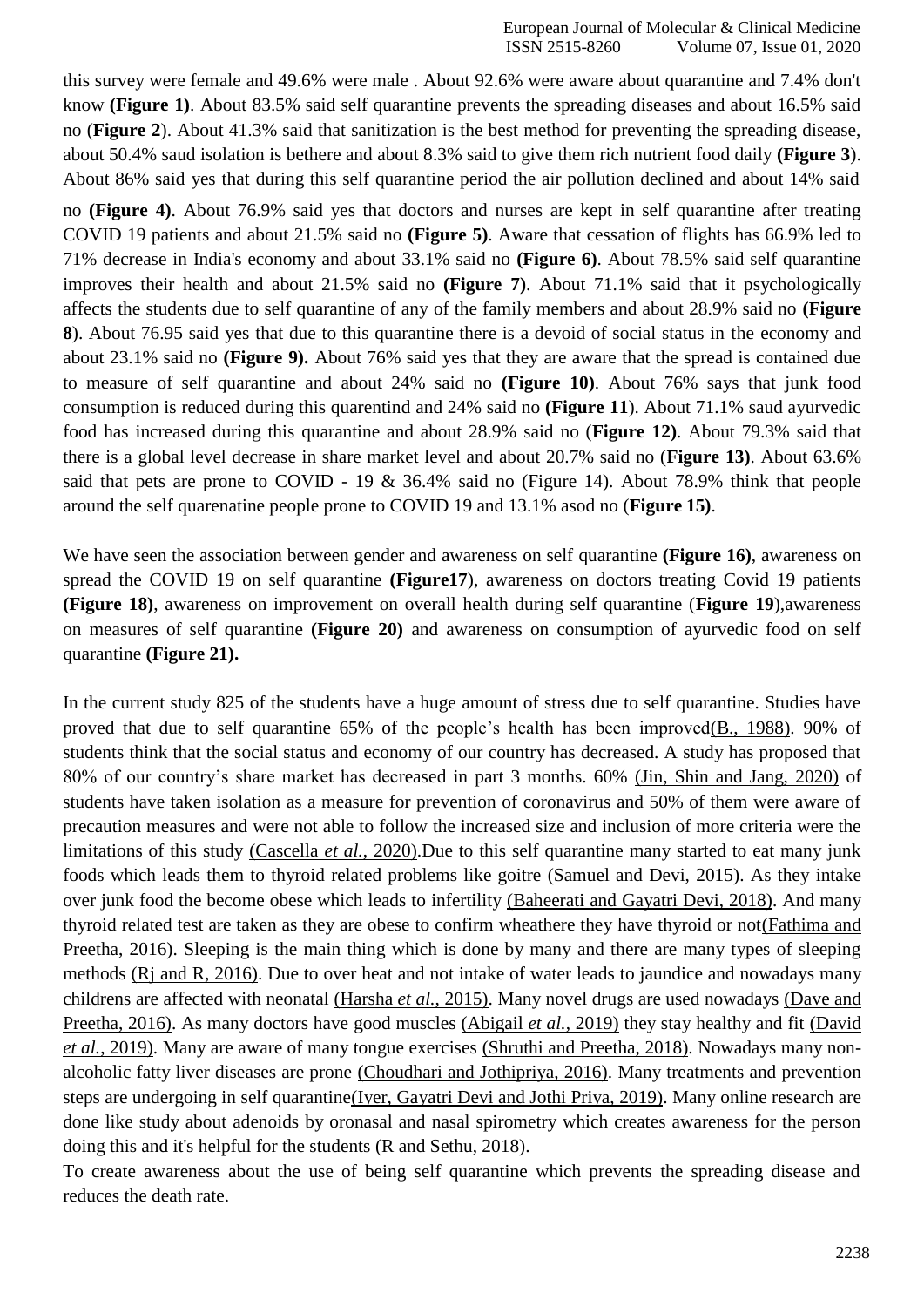this survey were female and 49.6% were male . About 92.6% were aware about quarantine and 7.4% don't know **(Figure 1)**. About 83.5% said self quarantine prevents the spreading diseases and about 16.5% said no (**Figure 2**). About 41.3% said that sanitization is the best method for preventing the spreading disease, about 50.4% saud isolation is bethere and about 8.3% said to give them rich nutrient food daily **(Figure 3**). About 86% said yes that during this self quarantine period the air pollution declined and about 14% said

no **(Figure 4)**. About 76.9% said yes that doctors and nurses are kept in self quarantine after treating COVID 19 patients and about 21.5% said no **(Figure 5)**. Aware that cessation of flights has 66.9% led to 71% decrease in India's economy and about 33.1% said no **(Figure 6)**. About 78.5% said self quarantine improves their health and about 21.5% said no **(Figure 7)**. About 71.1% said that it psychologically affects the students due to self quarantine of any of the family members and about 28.9% said no **(Figure 8**). About 76.95 said yes that due to this quarantine there is a devoid of social status in the economy and about 23.1% said no **(Figure 9).** About 76% said yes that they are aware that the spread is contained due to measure of self quarantine and about 24% said no **(Figure 10)**. About 76% says that junk food consumption is reduced during this quarentind and 24% said no **(Figure 11**). About 71.1% saud ayurvedic food has increased during this quarantine and about 28.9% said no (**Figure 12)**. About 79.3% said that there is a global level decrease in share market level and about 20.7% said no (**Figure 13)**. About 63.6% said that pets are prone to COVID - 19 & 36.4% said no (Figure 14). About 78.9% think that people around the self quarenatine people prone to COVID 19 and 13.1% asod no (**Figure 15)**.

We have seen the association between gender and awareness on self quarantine **(Figure 16)**, awareness on spread the COVID 19 on self quarantine **(Figure17**), awareness on doctors treating Covid 19 patients **(Figure 18)**, awareness on improvement on overall health during self quarantine (**Figure 19**),awareness on measures of self quarantine **(Figure 20)** and awareness on consumption of ayurvedic food on self quarantine **(Figure 21).**

In the current study 825 of the students have a huge amount of stress due to self quarantine. Studies have proved that due to self quarantine 65% of the people's health has been improve[d\(B., 1988\).](https://paperpile.com/c/hevxHO/zCwK) 90% of students think that the social status and economy of our country has decreased. A study has proposed that 80% of our country's share market has decreased in part 3 months. 60% [\(Jin, Shin and Jang, 2020\)](https://paperpile.com/c/hevxHO/uDxd) of students have taken isolation as a measure for prevention of coronavirus and 50% of them were aware of precaution measures and were not able to follow the increased size and inclusion of more criteria were the limitations of this study [\(Cascella](https://paperpile.com/c/hevxHO/XXDb) *et al.*, 2020).Due to this self quarantine many started to eat many junk foods which leads them to thyroid related problems like goitre [\(Samuel and Devi, 2015\).](https://paperpile.com/c/hevxHO/hJ8z) As they intake over junk food the become obese which leads to infertility [\(Baheerati and Gayatri Devi, 2018\). A](https://paperpile.com/c/hevxHO/vBsx)nd many thyroid related test are taken as they are obese to confirm wheathere they have thyroid or no[t\(Fathima and](https://paperpile.com/c/hevxHO/d9DS) [Preetha, 2016\). S](https://paperpile.com/c/hevxHO/d9DS)leeping is the main thing which is done by many and there are many types of sleeping methods [\(Rj and R, 2016\). D](https://paperpile.com/c/hevxHO/3rO1)ue to over heat and not intake of water leads to jaundice and nowadays many childrens are affected with neonatal [\(Harsha](https://paperpile.com/c/hevxHO/8YNH) *et al.*, 2015). Many novel drugs are used nowadays [\(Dave and](https://paperpile.com/c/hevxHO/ighS) [Preetha, 2016\). A](https://paperpile.com/c/hevxHO/ighS)s many doctors have good muscles [\(Abigail](https://paperpile.com/c/hevxHO/acDt) *et al.*, 2019) they stay healthy and fit [\(David](https://paperpile.com/c/hevxHO/gVNs) *et al.*[, 2019\).](https://paperpile.com/c/hevxHO/gVNs) Many are aware of many tongue exercises [\(Shruthi and Preetha, 2018\). N](https://paperpile.com/c/hevxHO/mMSK)owadays many nonalcoholic fatty liver diseases are prone [\(Choudhari and Jothipriya, 2016\). M](https://paperpile.com/c/hevxHO/ahee)any treatments and prevention steps are undergoing in self quarantin[e\(Iyer, Gayatri Devi and Jothi Priya, 2019\).](https://paperpile.com/c/hevxHO/dDm5) Many online research are done like study about adenoids by oronasal and nasal spirometry which creates awareness for the person doing this and it's helpful for the students [\(R and Sethu, 2018\).](https://paperpile.com/c/hevxHO/REZb)

To create awareness about the use of being self quarantine which prevents the spreading disease and reduces the death rate.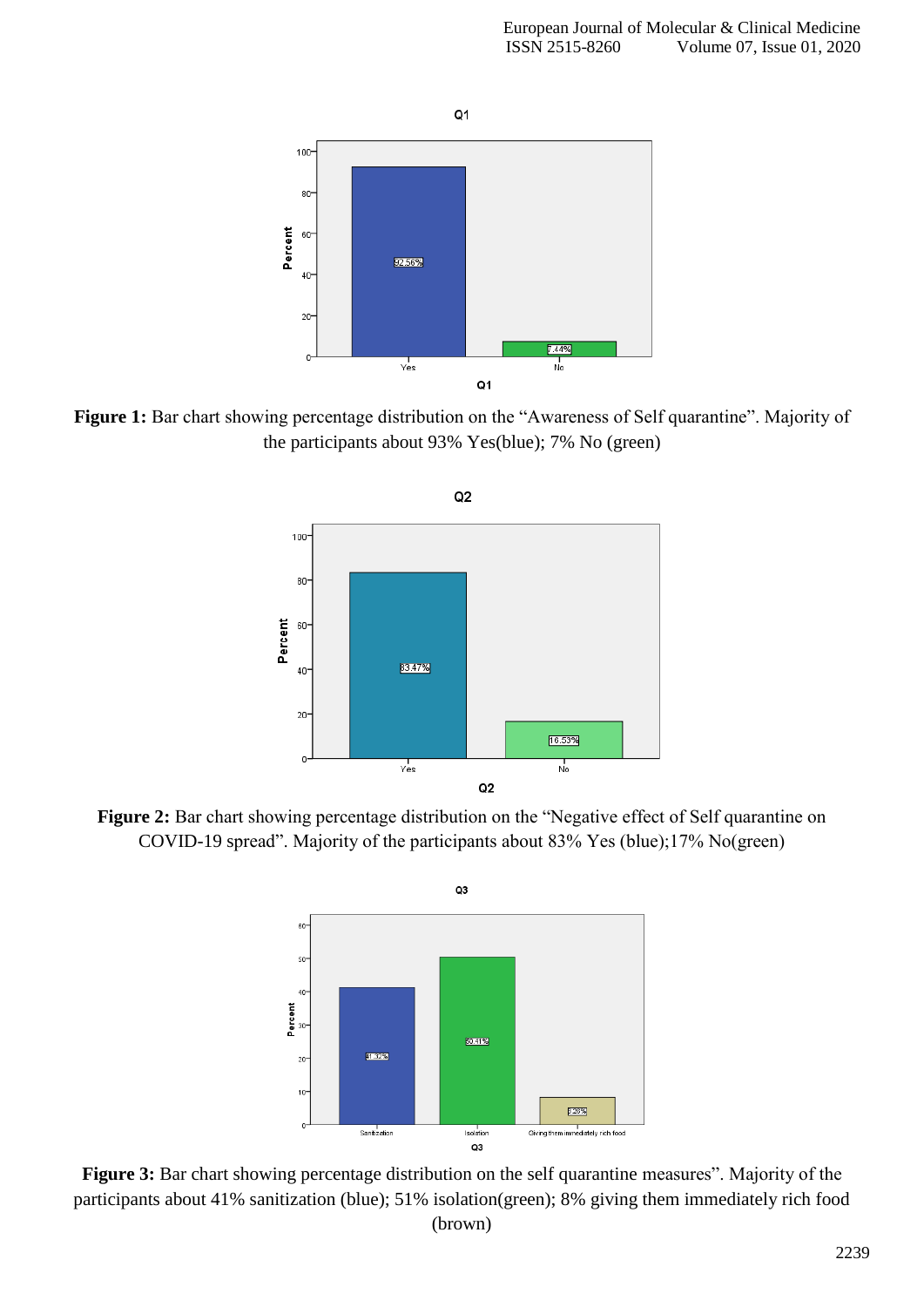

Figure 1: Bar chart showing percentage distribution on the "Awareness of Self quarantine". Majority of the participants about 93% Yes(blue); 7% No (green)



Figure 2: Bar chart showing percentage distribution on the "Negative effect of Self quarantine on COVID-19 spread". Majority of the participants about 83% Yes (blue);17% No(green)



Figure 3: Bar chart showing percentage distribution on the self quarantine measures". Majority of the participants about 41% sanitization (blue); 51% isolation(green); 8% giving them immediately rich food (brown)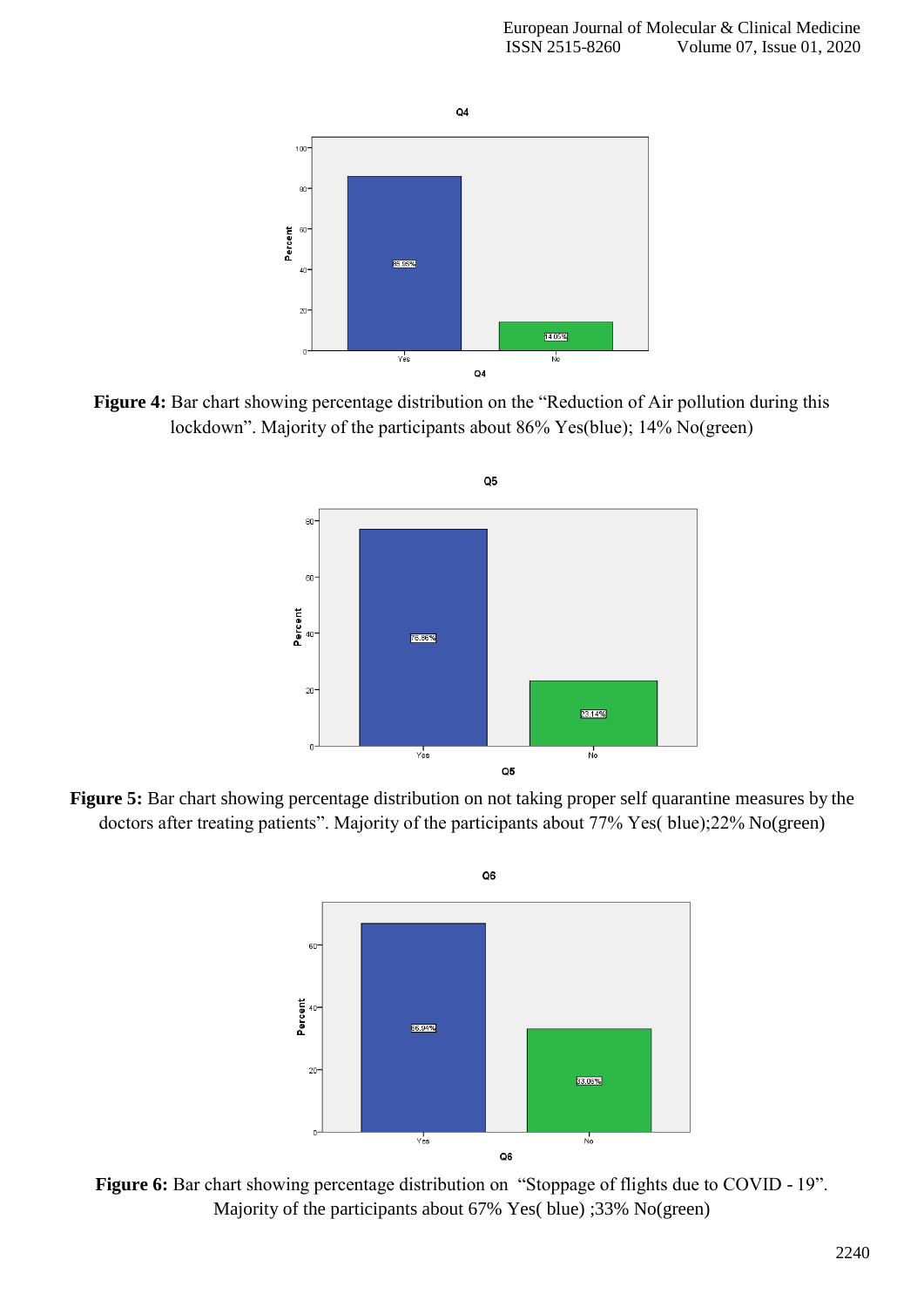

Figure 4: Bar chart showing percentage distribution on the "Reduction of Air pollution during this lockdown". Majority of the participants about 86% Yes(blue); 14% No(green)



Figure 5: Bar chart showing percentage distribution on not taking proper self quarantine measures by the doctors after treating patients". Majority of the participants about 77% Yes( blue);22% No(green)



Figure 6: Bar chart showing percentage distribution on "Stoppage of flights due to COVID - 19". Majority of the participants about 67% Yes( blue) ;33% No(green)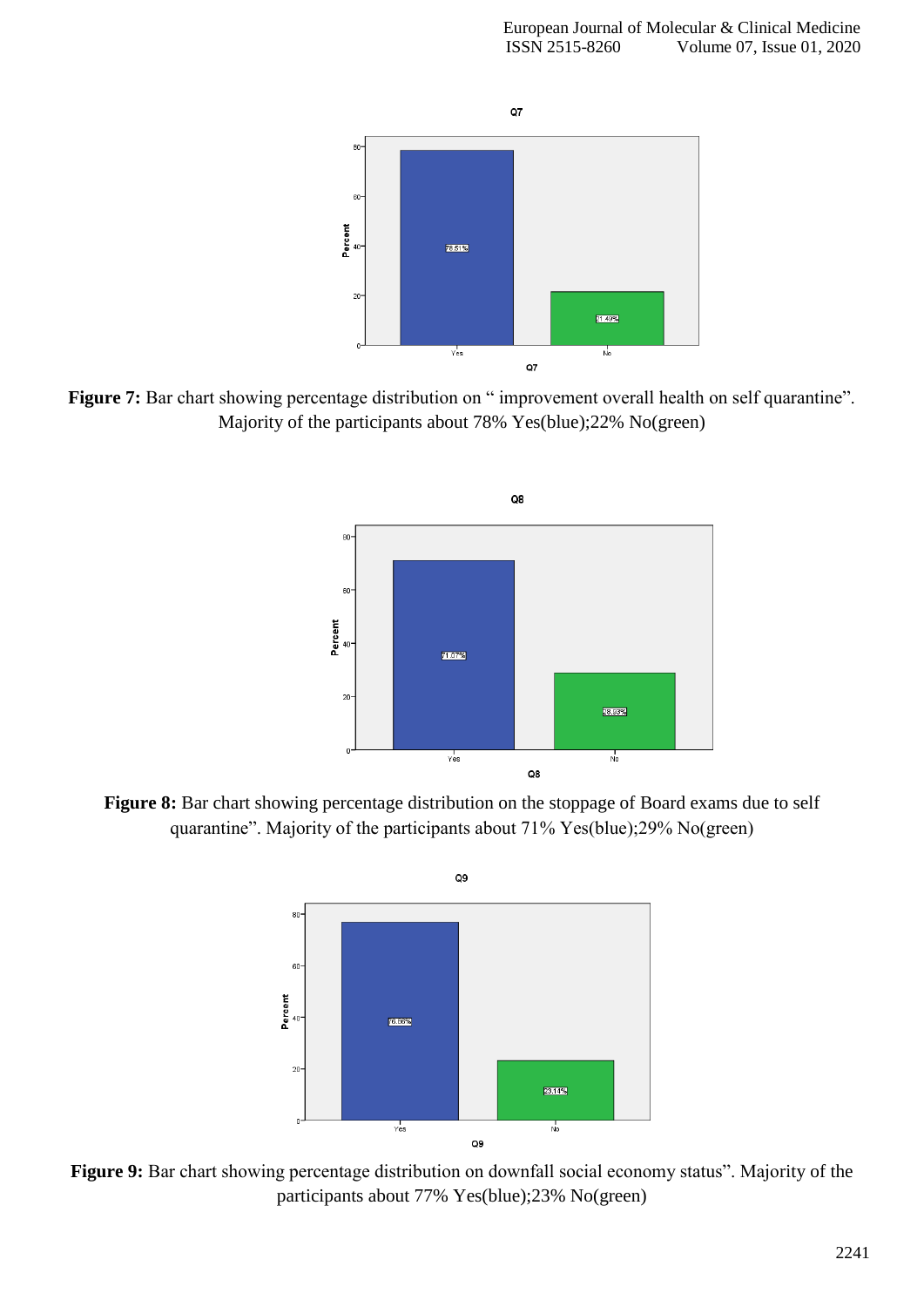

Figure 7: Bar chart showing percentage distribution on " improvement overall health on self quarantine". Majority of the participants about 78% Yes(blue);22% No(green)



Figure 8: Bar chart showing percentage distribution on the stoppage of Board exams due to self quarantine". Majority of the participants about 71% Yes(blue);29% No(green)



Figure 9: Bar chart showing percentage distribution on downfall social economy status". Majority of the participants about 77% Yes(blue);23% No(green)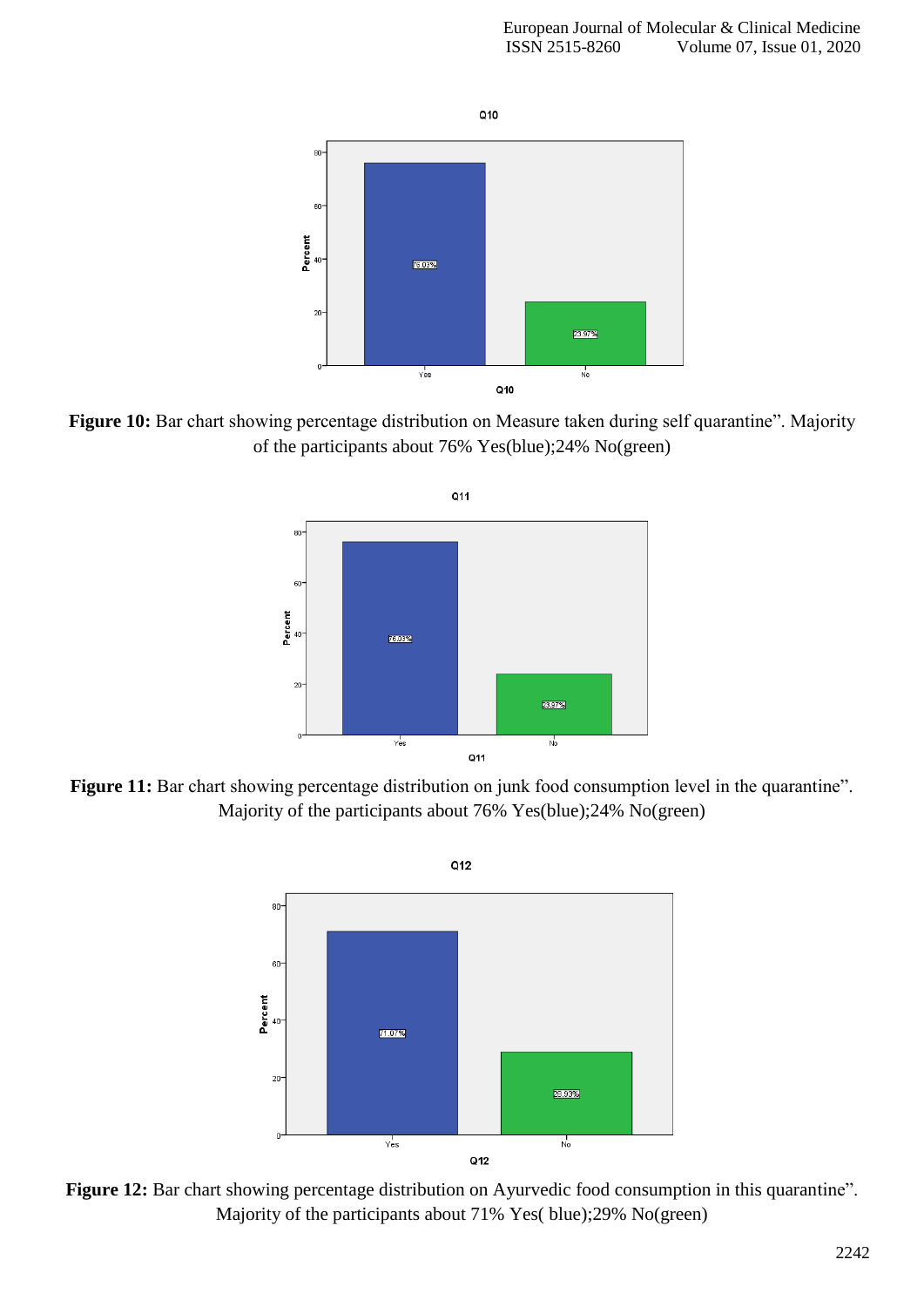

Figure 10: Bar chart showing percentage distribution on Measure taken during self quarantine". Majority of the participants about 76% Yes(blue);24% No(green)



Figure 11: Bar chart showing percentage distribution on junk food consumption level in the quarantine". Majority of the participants about 76% Yes(blue);24% No(green)



Figure 12: Bar chart showing percentage distribution on Ayurvedic food consumption in this quarantine". Majority of the participants about 71% Yes( blue);29% No(green)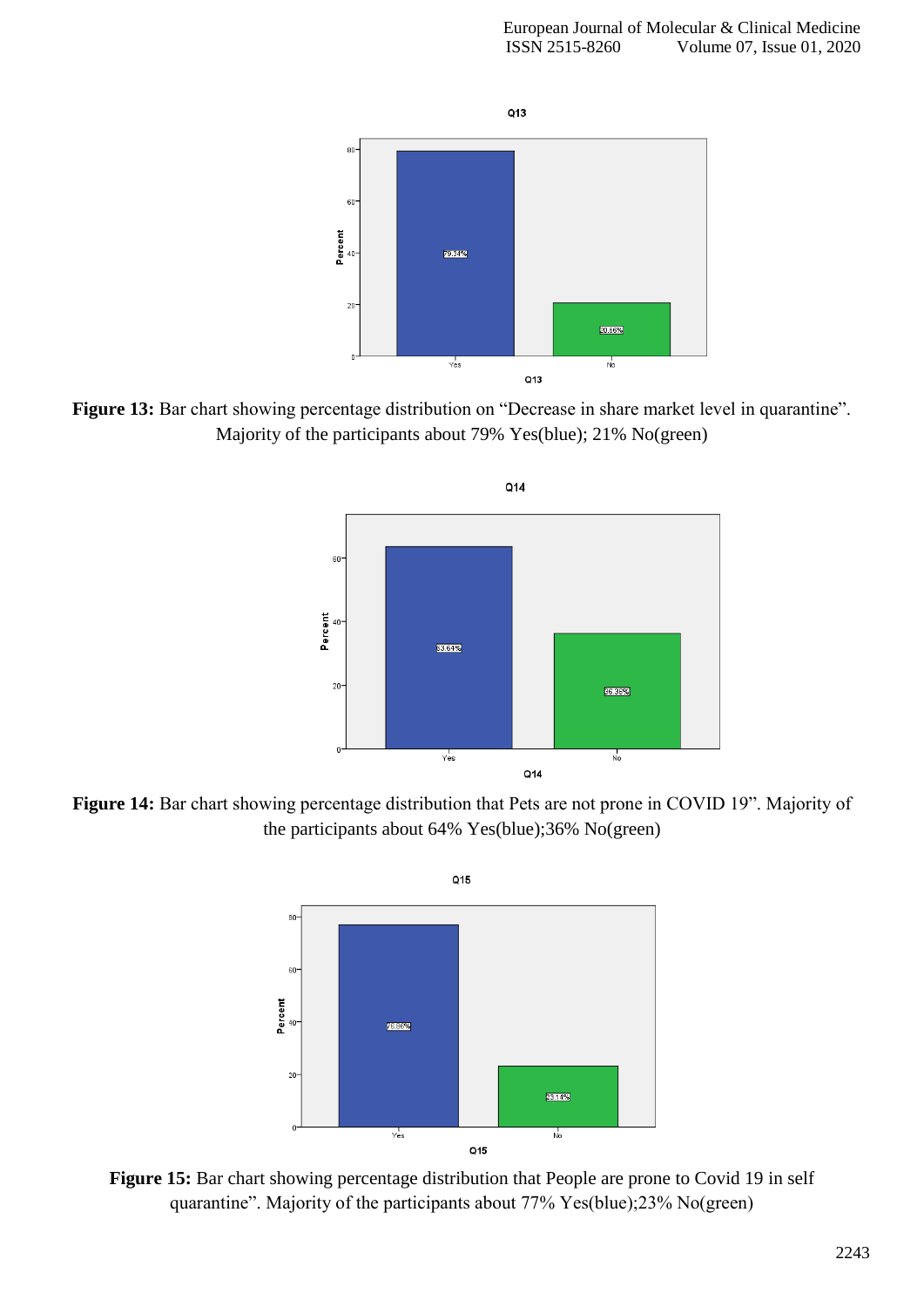

Figure 13: Bar chart showing percentage distribution on "Decrease in share market level in quarantine". Majority of the participants about 79% Yes(blue); 21% No(green)



Figure 14: Bar chart showing percentage distribution that Pets are not prone in COVID 19". Majority of the participants about 64% Yes(blue);36% No(green)



Figure 15: Bar chart showing percentage distribution that People are prone to Covid 19 in self quarantine". Majority of the participants about 77% Yes(blue);23% No(green)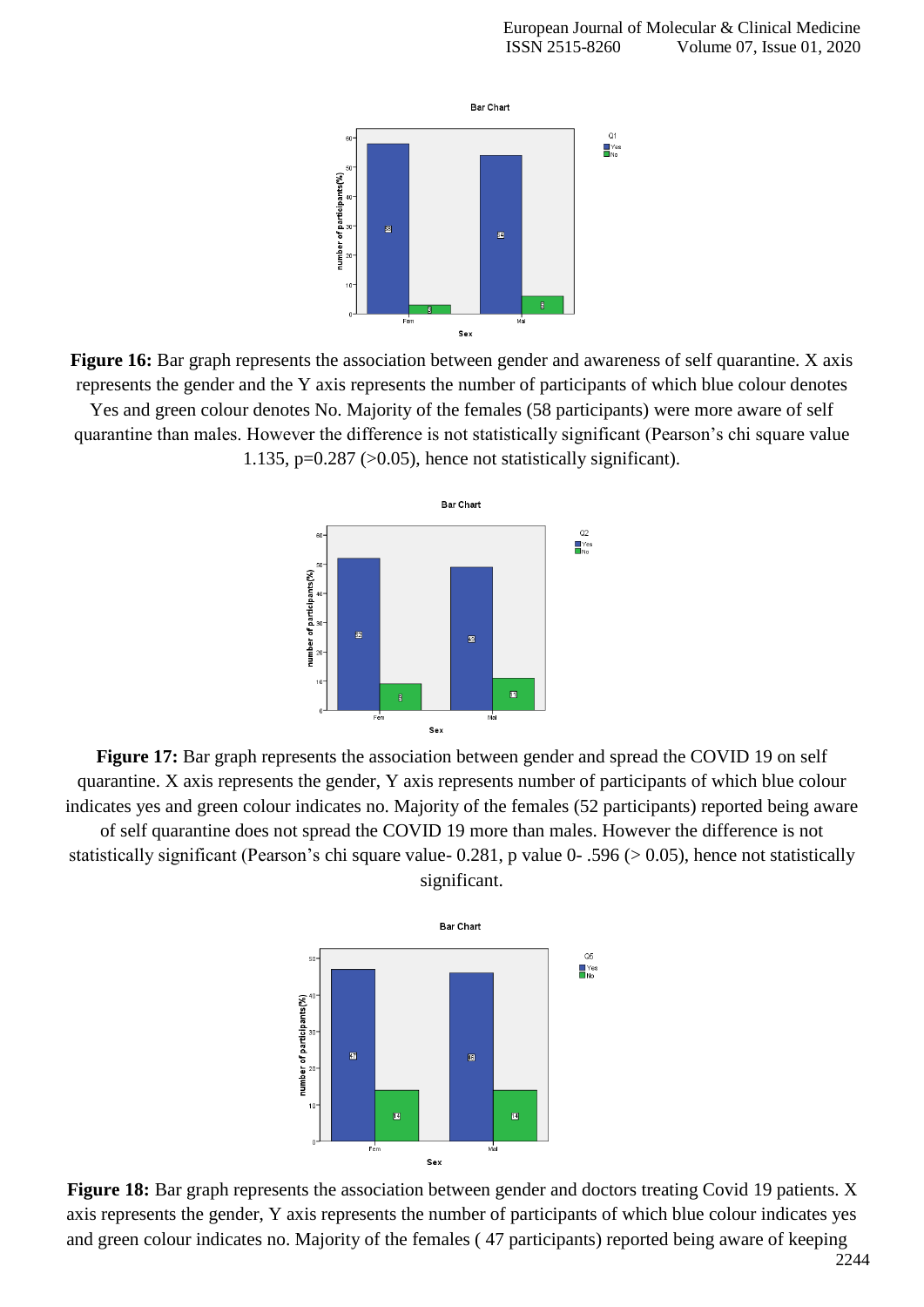

**Figure 16:** Bar graph represents the association between gender and awareness of self quarantine. X axis represents the gender and the Y axis represents the number of participants of which blue colour denotes Yes and green colour denotes No. Majority of the females (58 participants) were more aware of self

quarantine than males. However the difference is not statistically significant (Pearson's chi square value 1.135,  $p=0.287$  ( $>0.05$ ), hence not statistically significant).



Figure 17: Bar graph represents the association between gender and spread the COVID 19 on self quarantine. X axis represents the gender, Y axis represents number of participants of which blue colour indicates yes and green colour indicates no. Majority of the females (52 participants) reported being aware of self quarantine does not spread the COVID 19 more than males. However the difference is not statistically significant (Pearson's chi square value- 0.281, p value 0- .596 (> 0.05), hence not statistically significant.



**Figure 18:** Bar graph represents the association between gender and doctors treating Covid 19 patients. X axis represents the gender, Y axis represents the number of participants of which blue colour indicates yes and green colour indicates no. Majority of the females ( 47 participants) reported being aware of keeping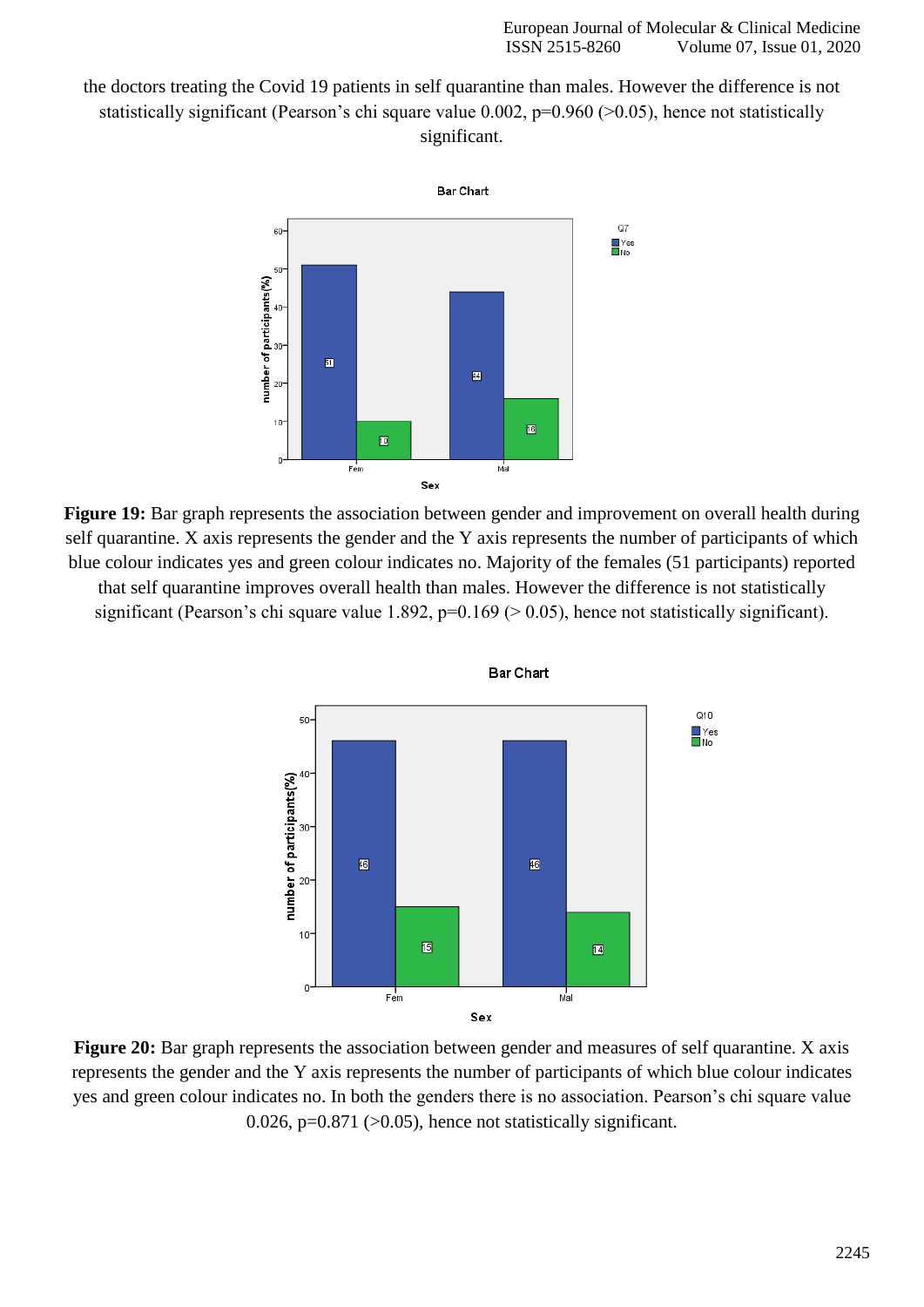the doctors treating the Covid 19 patients in self quarantine than males. However the difference is not statistically significant (Pearson's chi square value 0.002,  $p=0.960$  ( $>0.05$ ), hence not statistically significant.



**Figure 19:** Bar graph represents the association between gender and improvement on overall health during self quarantine. X axis represents the gender and the Y axis represents the number of participants of which blue colour indicates yes and green colour indicates no. Majority of the females (51 participants) reported that self quarantine improves overall health than males. However the difference is not statistically significant (Pearson's chi square value 1.892,  $p=0.169$  ( $> 0.05$ ), hence not statistically significant).



**Bar Chart** 

**Figure 20:** Bar graph represents the association between gender and measures of self quarantine. X axis represents the gender and the Y axis represents the number of participants of which blue colour indicates yes and green colour indicates no. In both the genders there is no association. Pearson's chi square value 0.026,  $p=0.871$  ( $>0.05$ ), hence not statistically significant.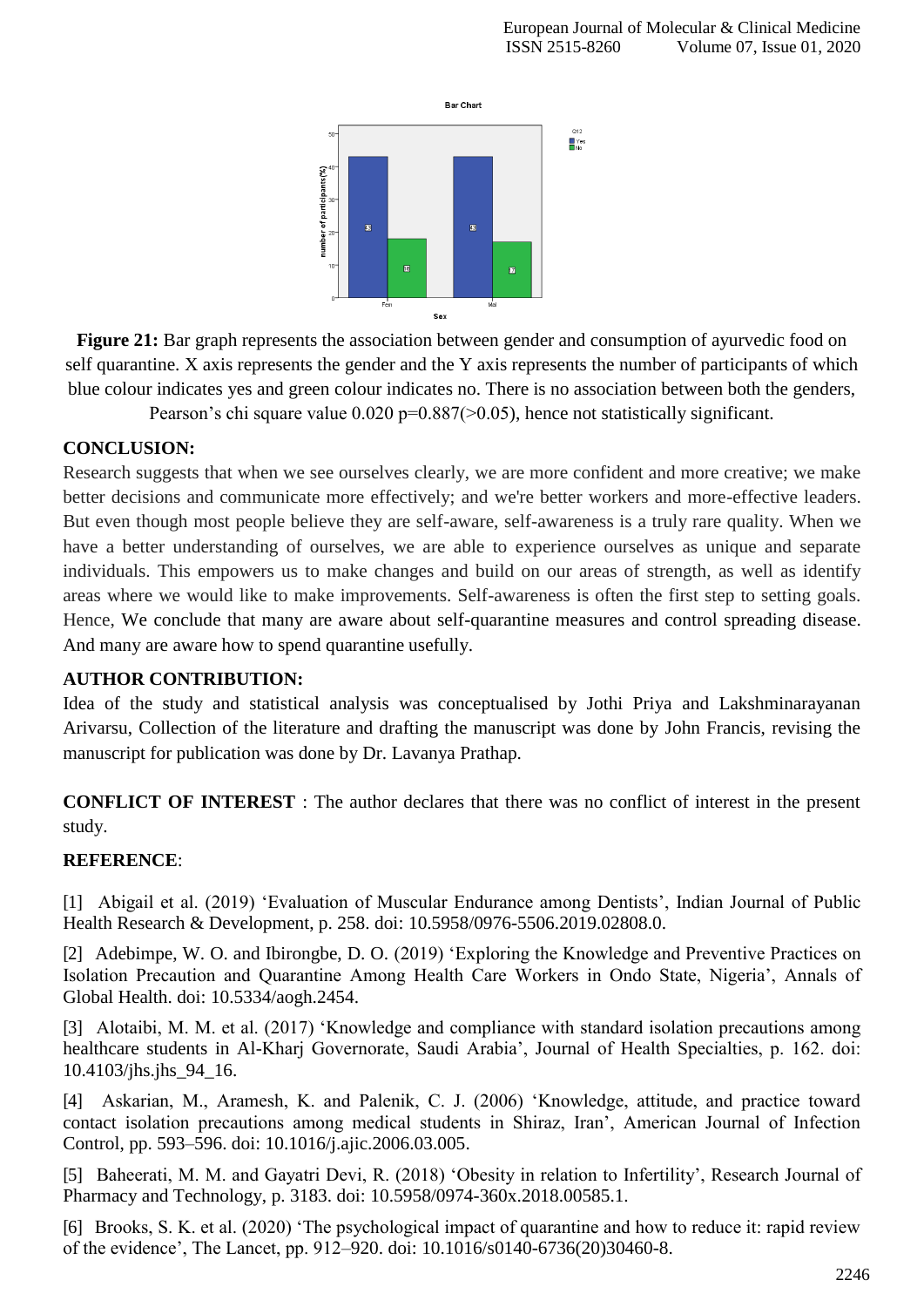

**Figure 21:** Bar graph represents the association between gender and consumption of ayurvedic food on self quarantine. X axis represents the gender and the Y axis represents the number of participants of which blue colour indicates yes and green colour indicates no. There is no association between both the genders,

Pearson's chi square value  $0.020$  p=0.887( $> 0.05$ ), hence not statistically significant.

#### **CONCLUSION:**

Research suggests that when we see ourselves clearly, we are more confident and more creative; we make better decisions and communicate more effectively; and we're better workers and more-effective leaders. But even though most people believe they are self-aware, self-awareness is a truly rare quality. When we have a better understanding of ourselves, we are able to experience ourselves as unique and separate individuals. This empowers us to make changes and build on our areas of strength, as well as identify areas where we would like to make improvements. Self-awareness is often the first step to setting goals. Hence, We conclude that many are aware about self-quarantine measures and control spreading disease. And many are aware how to spend quarantine usefully.

### **AUTHOR CONTRIBUTION:**

Idea of the study and statistical analysis was conceptualised by Jothi Priya and Lakshminarayanan Arivarsu, Collection of the literature and drafting the manuscript was done by John Francis, revising the manuscript for publication was done by Dr. Lavanya Prathap.

**CONFLICT OF INTEREST** : The author declares that there was no conflict of interest in the present study.

### **REFERENCE**:

[1] [Abigail et al. \(2019\) 'Evaluation of Muscular Endurance among Dentists', Indian Journal of Public](http://paperpile.com/b/hevxHO/acDt) [Health Research & Development, p. 258. doi: 10.5958/0976-5506.2019.02808.0](http://paperpile.com/b/hevxHO/acDt)[.](http://dx.doi.org/10.5958/0976-5506.2019.02808.0)

[2] Adebimpe, W. O. and Ibirongbe, D. O. [\(2019\) 'Exploring the Knowledge and Preventive Practices on](http://paperpile.com/b/hevxHO/iZHK) [Isolation Precaution and Quarantine Among Health Care Workers in Ondo State, Nigeria', Annals of](http://paperpile.com/b/hevxHO/iZHK) [Global Health. doi: 10.5334/aogh.2454.](http://paperpile.com/b/hevxHO/iZHK)

[3] [Alotaibi, M. M. et al. \(2017\) 'Knowledge and compliance with standard isolation precautions among](http://paperpile.com/b/hevxHO/63Ju) [healthcare students in Al-Kharj Governorate, Saudi Arabia', Journal of Health Specialties, p. 162. doi:](http://paperpile.com/b/hevxHO/63Ju) [10.4103/jhs.jhs\\_94\\_16.](http://dx.doi.org/10.4103/jhs.jhs_94_16)

[4] [Askarian, M., Aramesh, K. and Palenik, C. J. \(2006\) 'Knowledge, attitude, and practice toward](http://paperpile.com/b/hevxHO/dzQ1) [contact isolation precautions among medical students in Shiraz, Iran', American Journal of Infection](http://paperpile.com/b/hevxHO/dzQ1) [Control, pp. 593–596. doi: 10.1016/j.ajic.2006.03.005.](http://paperpile.com/b/hevxHO/dzQ1)

[5] [Baheerati, M. M. and Gayatri Devi, R. \(2018\) 'Obesity in relation to Infertility', Research Journal of](http://paperpile.com/b/hevxHO/vBsx) [Pharmacy and Technology, p. 3183. doi:](http://paperpile.com/b/hevxHO/vBsx) [10.5958/0974-360x.2018.00585.1](http://paperpile.com/b/hevxHO/vBsx)[.](http://dx.doi.org/10.5958/0974-360x.2018.00585.1)

[6] [Brooks, S. K. et al. \(2020\) 'The psychological impact of quarantine and how to reduce it: rapid review](http://paperpile.com/b/hevxHO/dGdd) [of the evidence', The Lancet, pp. 912–920. doi:](http://paperpile.com/b/hevxHO/dGdd) [10.1016/s0140-6736\(20\)30460-8.](http://paperpile.com/b/hevxHO/dGdd)